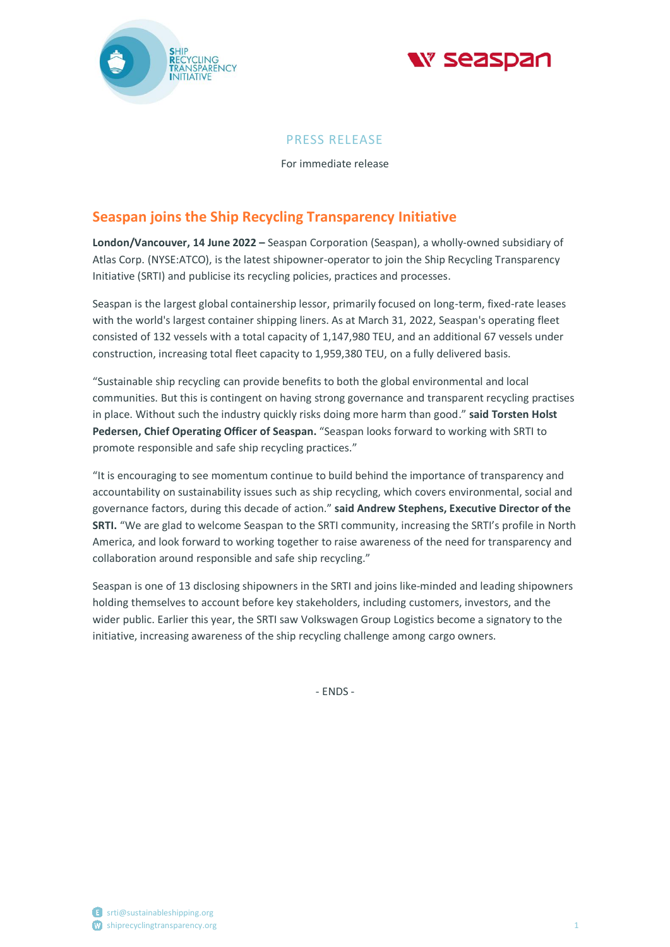



# PRESS RELEASE

For immediate release

# **Seaspan joins the Ship Recycling Transparency Initiative**

**London/Vancouver, 14 June 2022 –** Seaspan Corporation (Seaspan), a wholly-owned subsidiary of Atlas Corp. (NYSE:ATCO), is the latest shipowner-operator to join the Ship Recycling Transparency Initiative (SRTI) and publicise its recycling policies, practices and processes.

Seaspan is the largest global containership lessor, primarily focused on long-term, fixed-rate leases with the world's largest container shipping liners. As at March 31, 2022, Seaspan's operating fleet consisted of 132 vessels with a total capacity of 1,147,980 TEU, and an additional 67 vessels under construction, increasing total fleet capacity to 1,959,380 TEU, on a fully delivered basis.

"Sustainable ship recycling can provide benefits to both the global environmental and local communities. But this is contingent on having strong governance and transparent recycling practises in place. Without such the industry quickly risks doing more harm than good." **said Torsten Holst Pedersen, Chief Operating Officer of Seaspan.** "Seaspan looks forward to working with SRTI to promote responsible and safe ship recycling practices."

"It is encouraging to see momentum continue to build behind the importance of transparency and accountability on sustainability issues such as ship recycling, which covers environmental, social and governance factors, during this decade of action." **said Andrew Stephens, Executive Director of the SRTI.** "We are glad to welcome Seaspan to the SRTI community, increasing the SRTI's profile in North America, and look forward to working together to raise awareness of the need for transparency and collaboration around responsible and safe ship recycling."

Seaspan is one of 13 disclosing shipowners in the SRTI and joins like-minded and leading shipowners holding themselves to account before key stakeholders, including customers, investors, and the wider public. Earlier this year, the SRTI saw Volkswagen Group Logistics become a signatory to the initiative, increasing awareness of the ship recycling challenge among cargo owners.

- ENDS -